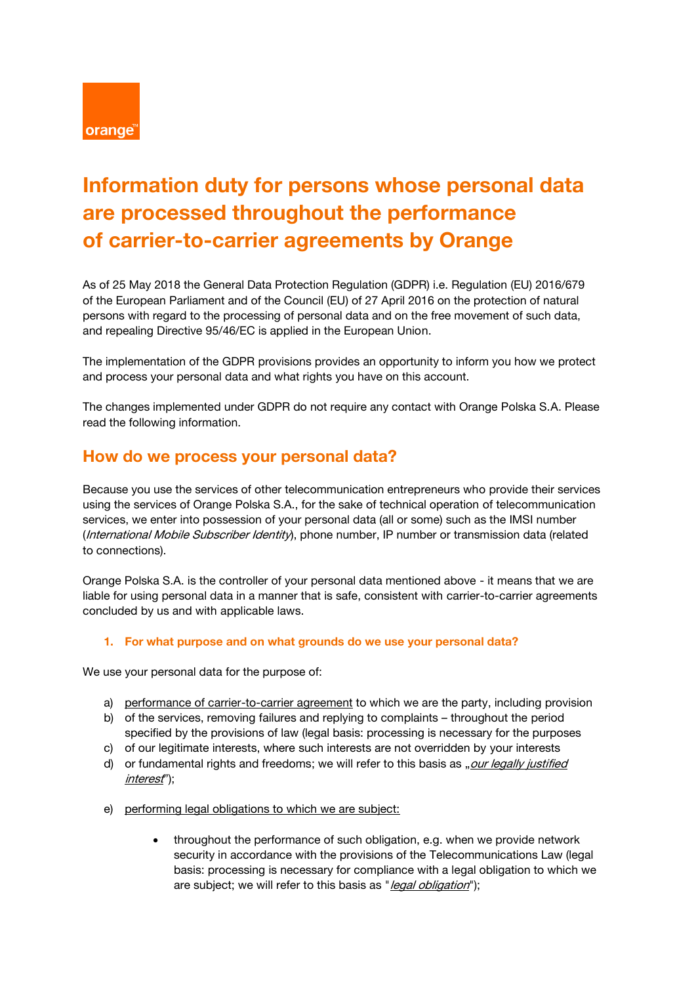

# **Information duty for persons whose personal data are processed throughout the performance of carrier-to-carrier agreements by Orange**

As of 25 May 2018 the General Data Protection Regulation (GDPR) i.e. Regulation (EU) 2016/679 of the European Parliament and of the Council (EU) of 27 April 2016 on the protection of natural persons with regard to the processing of personal data and on the free movement of such data, and repealing Directive 95/46/EC is applied in the European Union.

The implementation of the GDPR provisions provides an opportunity to inform you how we protect and process your personal data and what rights you have on this account.

The changes implemented under GDPR do not require any contact with Orange Polska S.A. Please read the following information.

# **How do we process your personal data?**

Because you use the services of other telecommunication entrepreneurs who provide their services using the services of Orange Polska S.A., for the sake of technical operation of telecommunication services, we enter into possession of your personal data (all or some) such as the IMSI number (International Mobile Subscriber Identity), phone number, IP number or transmission data (related to connections).

Orange Polska S.A. is the controller of your personal data mentioned above - it means that we are liable for using personal data in a manner that is safe, consistent with carrier-to-carrier agreements concluded by us and with applicable laws.

#### **1. For what purpose and on what grounds do we use your personal data?**

We use your personal data for the purpose of:

- a) performance of carrier-to-carrier agreement to which we are the party, including provision
- b) of the services, removing failures and replying to complaints throughout the period specified by the provisions of law (legal basis: processing is necessary for the purposes
- c) of our legitimate interests, where such interests are not overridden by your interests
- d) or fundamental rights and freedoms; we will refer to this basis as  $\omega u$  legally justified interest");
- e) performing legal obligations to which we are subject:
	- throughout the performance of such obligation, e.g. when we provide network security in accordance with the provisions of the Telecommunications Law (legal basis: processing is necessary for compliance with a legal obligation to which we are subject; we will refer to this basis as "*legal obligation*");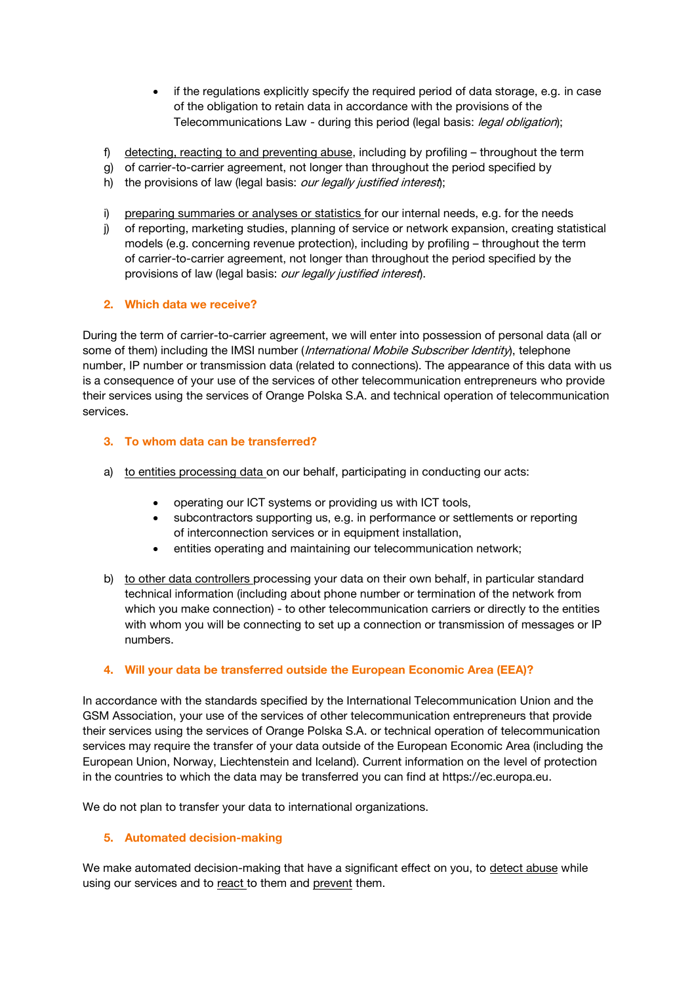- if the regulations explicitly specify the required period of data storage, e.g. in case of the obligation to retain data in accordance with the provisions of the Telecommunications Law - during this period (legal basis: *legal obligation*);
- f) detecting, reacting to and preventing abuse, including by profiling throughout the term
- g) of carrier-to-carrier agreement, not longer than throughout the period specified by
- h) the provisions of law (legal basis: our legally justified interest);
- i) preparing summaries or analyses or statistics for our internal needs, e.g. for the needs
- j) of reporting, marketing studies, planning of service or network expansion, creating statistical models (e.g. concerning revenue protection), including by profiling – throughout the term of carrier-to-carrier agreement, not longer than throughout the period specified by the provisions of law (legal basis: our legally justified interest).

#### **2. Which data we receive?**

During the term of carrier-to-carrier agreement, we will enter into possession of personal data (all or some of them) including the IMSI number (*International Mobile Subscriber Identity*), telephone number, IP number or transmission data (related to connections). The appearance of this data with us is a consequence of your use of the services of other telecommunication entrepreneurs who provide their services using the services of Orange Polska S.A. and technical operation of telecommunication services.

#### **3. To whom data can be transferred?**

- a) to entities processing data on our behalf, participating in conducting our acts:
	- operating our ICT systems or providing us with ICT tools,
	- subcontractors supporting us, e.g. in performance or settlements or reporting of interconnection services or in equipment installation,
	- entities operating and maintaining our telecommunication network;
- b) to other data controllers processing your data on their own behalf, in particular standard technical information (including about phone number or termination of the network from which you make connection) - to other telecommunication carriers or directly to the entities with whom you will be connecting to set up a connection or transmission of messages or IP numbers.

# **4. Will your data be transferred outside the European Economic Area (EEA)?**

In accordance with the standards specified by the International Telecommunication Union and the GSM Association, your use of the services of other telecommunication entrepreneurs that provide their services using the services of Orange Polska S.A. or technical operation of telecommunication services may require the transfer of your data outside of the European Economic Area (including the European Union, Norway, Liechtenstein and Iceland). Current information on the level of protection in the countries to which the data may be transferred you can find at https://ec.europa.eu.

We do not plan to transfer your data to international organizations.

#### **5. Automated decision-making**

We make automated decision-making that have a significant effect on you, to detect abuse while using our services and to react to them and prevent them.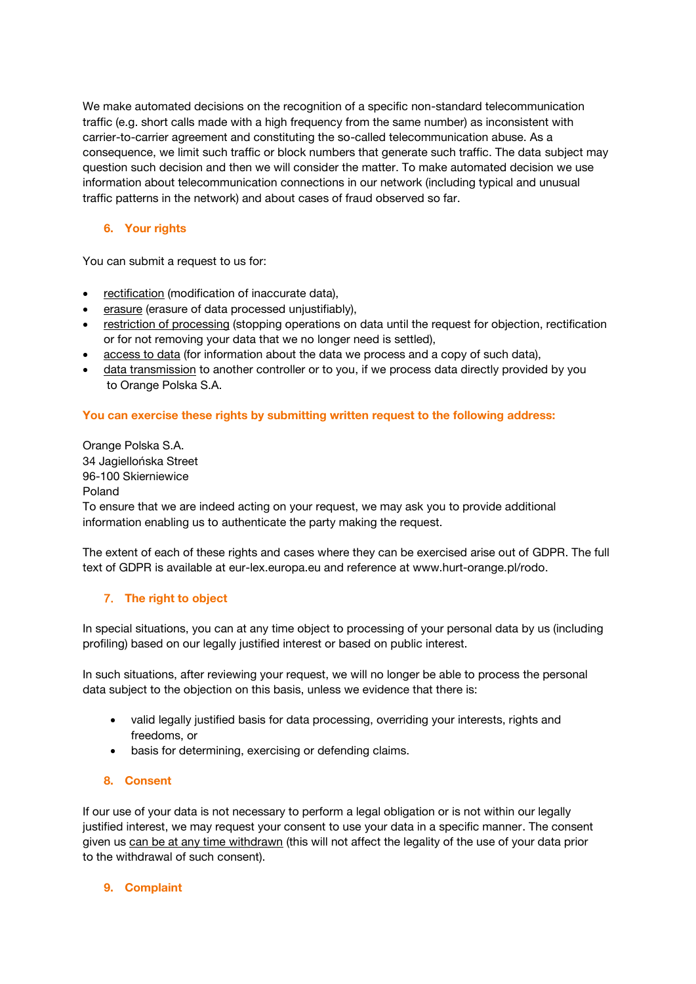We make automated decisions on the recognition of a specific non-standard telecommunication traffic (e.g. short calls made with a high frequency from the same number) as inconsistent with carrier-to-carrier agreement and constituting the so-called telecommunication abuse. As a consequence, we limit such traffic or block numbers that generate such traffic. The data subject may question such decision and then we will consider the matter. To make automated decision we use information about telecommunication connections in our network (including typical and unusual traffic patterns in the network) and about cases of fraud observed so far.

### **6. Your rights**

You can submit a request to us for:

- rectification (modification of inaccurate data),
- erasure (erasure of data processed unjustifiably),
- restriction of processing (stopping operations on data until the request for objection, rectification or for not removing your data that we no longer need is settled),
- access to data (for information about the data we process and a copy of such data),
- data transmission to another controller or to you, if we process data directly provided by you to Orange Polska S.A.

#### **You can exercise these rights by submitting written request to the following address:**

Orange Polska S.A. 34 Jagiellońska Street 96-100 Skierniewice Poland To ensure that we are indeed acting on your request, we may ask you to provide additional information enabling us to authenticate the party making the request.

The extent of each of these rights and cases where they can be exercised arise out of GDPR. The full text of GDPR is available at eur-lex.europa.eu and reference at [www.hurt-orange.pl/rodo.](http://www.hurt-orange.pl/rodo)

#### 7. **The right to object**

In special situations, you can at any time object to processing of your personal data by us (including profiling) based on our legally justified interest or based on public interest.

In such situations, after reviewing your request, we will no longer be able to process the personal data subject to the objection on this basis, unless we evidence that there is:

- valid legally justified basis for data processing, overriding your interests, rights and freedoms, or
- basis for determining, exercising or defending claims.

#### **8. Consent**

If our use of your data is not necessary to perform a legal obligation or is not within our legally justified interest, we may request your consent to use your data in a specific manner. The consent given us can be at any time withdrawn (this will not affect the legality of the use of your data prior to the withdrawal of such consent).

#### **9. Complaint**